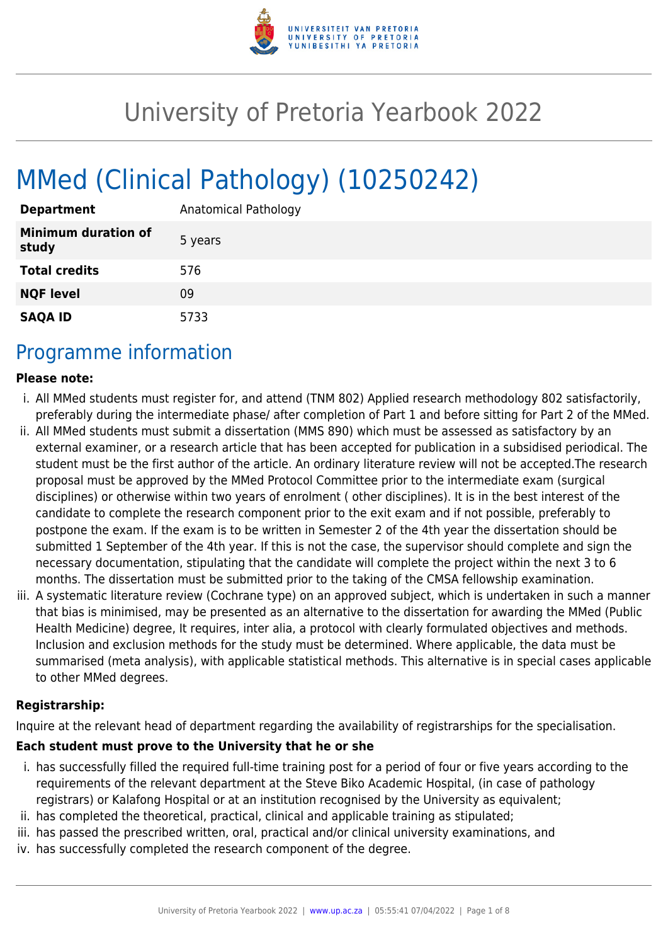

# University of Pretoria Yearbook 2022

# MMed (Clinical Pathology) (10250242)

| <b>Department</b>                   | Anatomical Pathology |
|-------------------------------------|----------------------|
| <b>Minimum duration of</b><br>study | 5 years              |
| <b>Total credits</b>                | 576                  |
| <b>NQF level</b>                    | 09                   |
| <b>SAQA ID</b>                      | 5733                 |

### Programme information

#### **Please note:**

- i. All MMed students must register for, and attend (TNM 802) Applied research methodology 802 satisfactorily, preferably during the intermediate phase/ after completion of Part 1 and before sitting for Part 2 of the MMed.
- ii. All MMed students must submit a dissertation (MMS 890) which must be assessed as satisfactory by an external examiner, or a research article that has been accepted for publication in a subsidised periodical. The student must be the first author of the article. An ordinary literature review will not be accepted.The research proposal must be approved by the MMed Protocol Committee prior to the intermediate exam (surgical disciplines) or otherwise within two years of enrolment ( other disciplines). It is in the best interest of the candidate to complete the research component prior to the exit exam and if not possible, preferably to postpone the exam. If the exam is to be written in Semester 2 of the 4th year the dissertation should be submitted 1 September of the 4th year. If this is not the case, the supervisor should complete and sign the necessary documentation, stipulating that the candidate will complete the project within the next 3 to 6 months. The dissertation must be submitted prior to the taking of the CMSA fellowship examination.
- iii. A systematic literature review (Cochrane type) on an approved subject, which is undertaken in such a manner that bias is minimised, may be presented as an alternative to the dissertation for awarding the MMed (Public Health Medicine) degree, It requires, inter alia, a protocol with clearly formulated objectives and methods. Inclusion and exclusion methods for the study must be determined. Where applicable, the data must be summarised (meta analysis), with applicable statistical methods. This alternative is in special cases applicable to other MMed degrees.

#### **Registrarship:**

Inquire at the relevant head of department regarding the availability of registrarships for the specialisation.

#### **Each student must prove to the University that he or she**

- i. has successfully filled the required full-time training post for a period of four or five years according to the requirements of the relevant department at the Steve Biko Academic Hospital, (in case of pathology registrars) or Kalafong Hospital or at an institution recognised by the University as equivalent;
- ii. has completed the theoretical, practical, clinical and applicable training as stipulated;
- iii. has passed the prescribed written, oral, practical and/or clinical university examinations, and
- iv. has successfully completed the research component of the degree.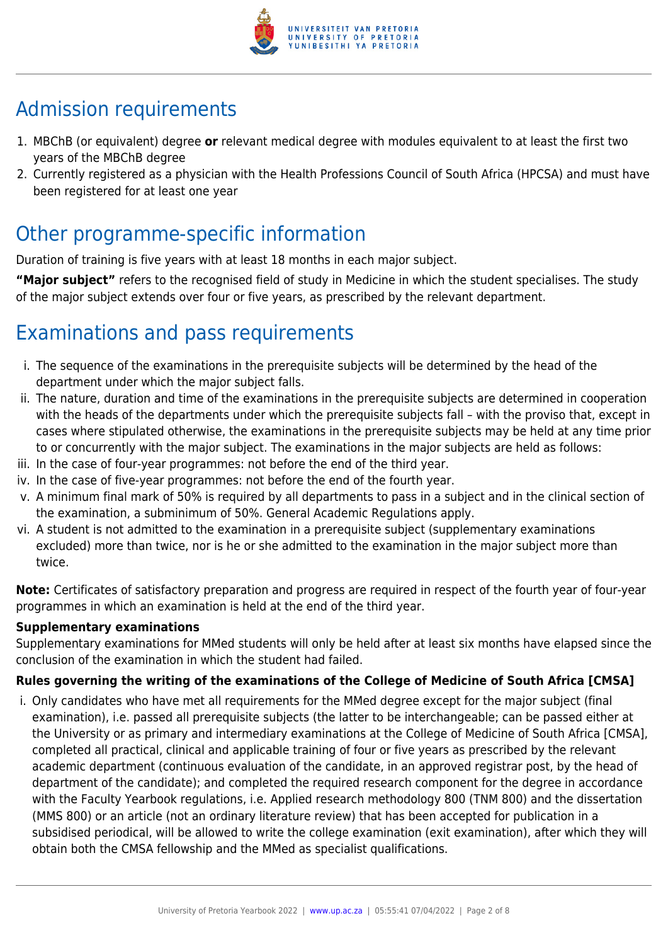

# Admission requirements

- 1. MBChB (or equivalent) degree **or** relevant medical degree with modules equivalent to at least the first two years of the MBChB degree
- 2. Currently registered as a physician with the Health Professions Council of South Africa (HPCSA) and must have been registered for at least one year

## Other programme-specific information

Duration of training is five years with at least 18 months in each major subject.

**"Major subject"** refers to the recognised field of study in Medicine in which the student specialises. The study of the major subject extends over four or five years, as prescribed by the relevant department.

# Examinations and pass requirements

- i. The sequence of the examinations in the prerequisite subjects will be determined by the head of the department under which the major subject falls.
- ii. The nature, duration and time of the examinations in the prerequisite subjects are determined in cooperation with the heads of the departments under which the prerequisite subjects fall – with the proviso that, except in cases where stipulated otherwise, the examinations in the prerequisite subjects may be held at any time prior to or concurrently with the major subject. The examinations in the major subjects are held as follows:
- iii. In the case of four-year programmes: not before the end of the third year.
- iv. In the case of five-year programmes: not before the end of the fourth year.
- v. A minimum final mark of 50% is required by all departments to pass in a subject and in the clinical section of the examination, a subminimum of 50%. General Academic Regulations apply.
- vi. A student is not admitted to the examination in a prerequisite subject (supplementary examinations excluded) more than twice, nor is he or she admitted to the examination in the major subject more than twice.

**Note:** Certificates of satisfactory preparation and progress are required in respect of the fourth year of four-year programmes in which an examination is held at the end of the third year.

#### **Supplementary examinations**

Supplementary examinations for MMed students will only be held after at least six months have elapsed since the conclusion of the examination in which the student had failed.

#### **Rules governing the writing of the examinations of the College of Medicine of South Africa [CMSA]**

i. Only candidates who have met all requirements for the MMed degree except for the major subject (final examination), i.e. passed all prerequisite subjects (the latter to be interchangeable; can be passed either at the University or as primary and intermediary examinations at the College of Medicine of South Africa [CMSA], completed all practical, clinical and applicable training of four or five years as prescribed by the relevant academic department (continuous evaluation of the candidate, in an approved registrar post, by the head of department of the candidate); and completed the required research component for the degree in accordance with the Faculty Yearbook regulations, i.e. Applied research methodology 800 (TNM 800) and the dissertation (MMS 800) or an article (not an ordinary literature review) that has been accepted for publication in a subsidised periodical, will be allowed to write the college examination (exit examination), after which they will obtain both the CMSA fellowship and the MMed as specialist qualifications.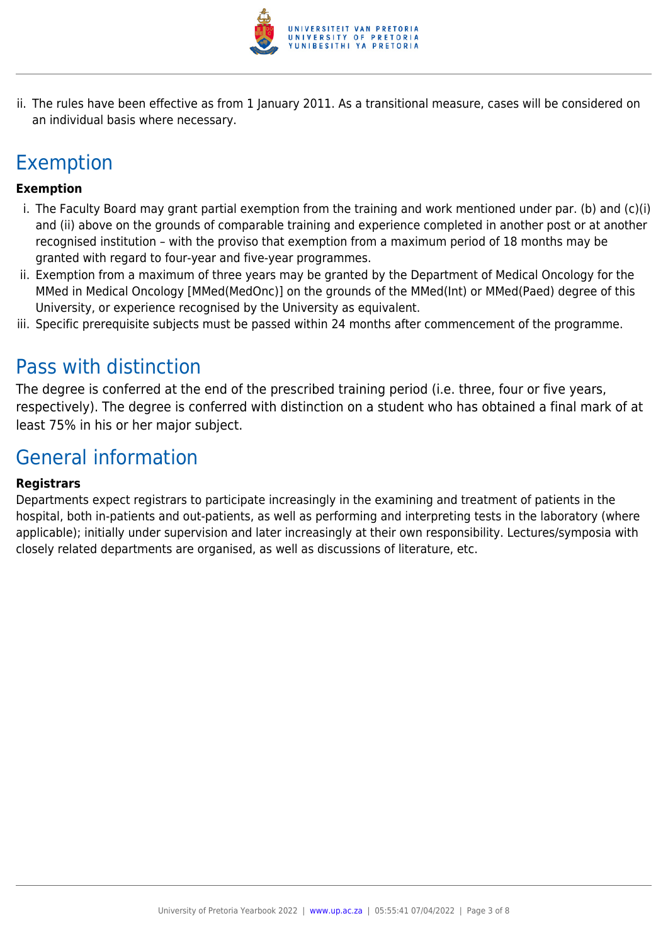

ii. The rules have been effective as from 1 January 2011. As a transitional measure, cases will be considered on an individual basis where necessary.

# Exemption

#### **Exemption**

- i. The Faculty Board may grant partial exemption from the training and work mentioned under par. (b) and (c)(i) and (ii) above on the grounds of comparable training and experience completed in another post or at another recognised institution – with the proviso that exemption from a maximum period of 18 months may be granted with regard to four-year and five-year programmes.
- ii. Exemption from a maximum of three years may be granted by the Department of Medical Oncology for the MMed in Medical Oncology [MMed(MedOnc)] on the grounds of the MMed(Int) or MMed(Paed) degree of this University, or experience recognised by the University as equivalent.
- iii. Specific prerequisite subjects must be passed within 24 months after commencement of the programme.

### Pass with distinction

The degree is conferred at the end of the prescribed training period (i.e. three, four or five years, respectively). The degree is conferred with distinction on a student who has obtained a final mark of at least 75% in his or her major subject.

### General information

#### **Registrars**

Departments expect registrars to participate increasingly in the examining and treatment of patients in the hospital, both in-patients and out-patients, as well as performing and interpreting tests in the laboratory (where applicable); initially under supervision and later increasingly at their own responsibility. Lectures/symposia with closely related departments are organised, as well as discussions of literature, etc.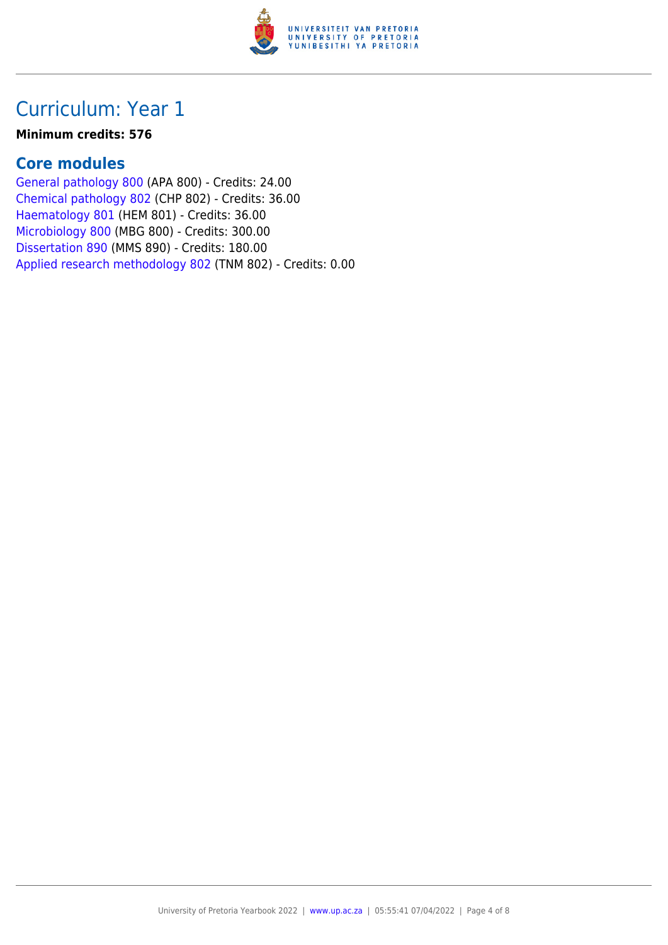

#### **Minimum credits: 576**

### **Core modules**

[General pathology 800](https://www.up.ac.za/faculty-of-education/yearbooks/2022/modules/view/APA 800) (APA 800) - Credits: 24.00 [Chemical pathology 802](https://www.up.ac.za/faculty-of-education/yearbooks/2022/modules/view/CHP 802) (CHP 802) - Credits: 36.00 [Haematology 801](https://www.up.ac.za/faculty-of-education/yearbooks/2022/modules/view/HEM 801) (HEM 801) - Credits: 36.00 [Microbiology 800](https://www.up.ac.za/faculty-of-education/yearbooks/2022/modules/view/MBG 800) (MBG 800) - Credits: 300.00 [Dissertation 890](https://www.up.ac.za/faculty-of-education/yearbooks/2022/modules/view/MMS 890) (MMS 890) - Credits: 180.00 [Applied research methodology 802](https://www.up.ac.za/faculty-of-education/yearbooks/2022/modules/view/TNM 802) (TNM 802) - Credits: 0.00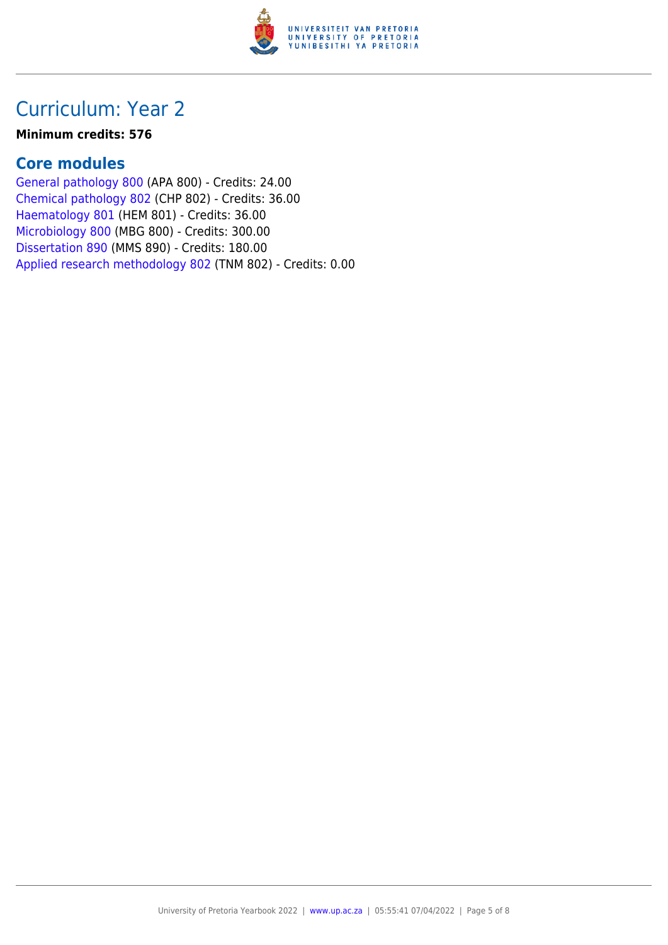

#### **Minimum credits: 576**

### **Core modules**

[General pathology 800](https://www.up.ac.za/faculty-of-education/yearbooks/2022/modules/view/APA 800) (APA 800) - Credits: 24.00 [Chemical pathology 802](https://www.up.ac.za/faculty-of-education/yearbooks/2022/modules/view/CHP 802) (CHP 802) - Credits: 36.00 [Haematology 801](https://www.up.ac.za/faculty-of-education/yearbooks/2022/modules/view/HEM 801) (HEM 801) - Credits: 36.00 [Microbiology 800](https://www.up.ac.za/faculty-of-education/yearbooks/2022/modules/view/MBG 800) (MBG 800) - Credits: 300.00 [Dissertation 890](https://www.up.ac.za/faculty-of-education/yearbooks/2022/modules/view/MMS 890) (MMS 890) - Credits: 180.00 [Applied research methodology 802](https://www.up.ac.za/faculty-of-education/yearbooks/2022/modules/view/TNM 802) (TNM 802) - Credits: 0.00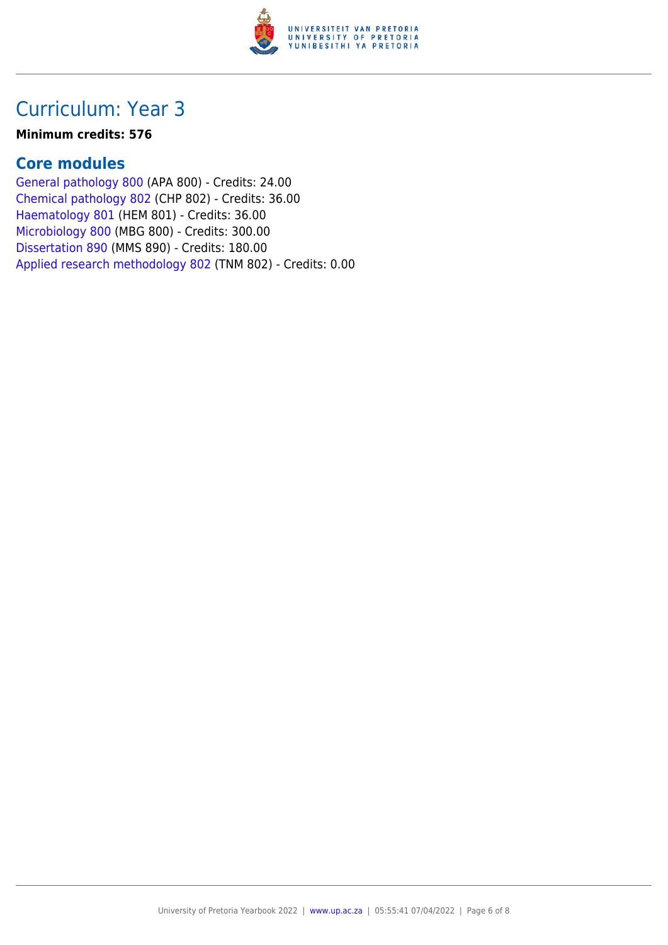

#### **Minimum credits: 576**

### **Core modules**

[General pathology 800](https://www.up.ac.za/faculty-of-education/yearbooks/2022/modules/view/APA 800) (APA 800) - Credits: 24.00 [Chemical pathology 802](https://www.up.ac.za/faculty-of-education/yearbooks/2022/modules/view/CHP 802) (CHP 802) - Credits: 36.00 [Haematology 801](https://www.up.ac.za/faculty-of-education/yearbooks/2022/modules/view/HEM 801) (HEM 801) - Credits: 36.00 [Microbiology 800](https://www.up.ac.za/faculty-of-education/yearbooks/2022/modules/view/MBG 800) (MBG 800) - Credits: 300.00 [Dissertation 890](https://www.up.ac.za/faculty-of-education/yearbooks/2022/modules/view/MMS 890) (MMS 890) - Credits: 180.00 [Applied research methodology 802](https://www.up.ac.za/faculty-of-education/yearbooks/2022/modules/view/TNM 802) (TNM 802) - Credits: 0.00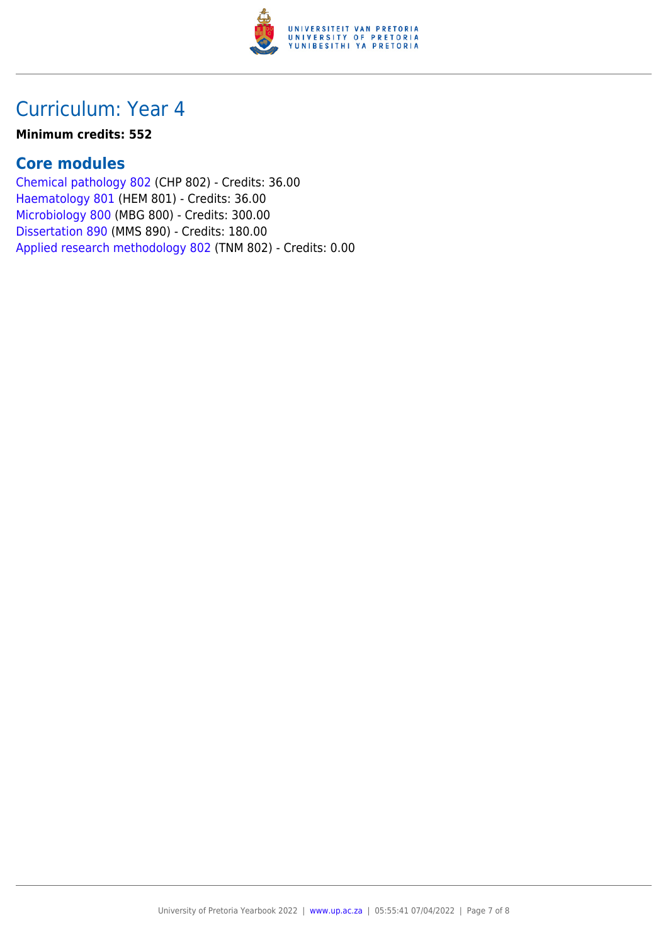

#### **Minimum credits: 552**

### **Core modules**

[Chemical pathology 802](https://www.up.ac.za/faculty-of-education/yearbooks/2022/modules/view/CHP 802) (CHP 802) - Credits: 36.00 [Haematology 801](https://www.up.ac.za/faculty-of-education/yearbooks/2022/modules/view/HEM 801) (HEM 801) - Credits: 36.00 [Microbiology 800](https://www.up.ac.za/faculty-of-education/yearbooks/2022/modules/view/MBG 800) (MBG 800) - Credits: 300.00 [Dissertation 890](https://www.up.ac.za/faculty-of-education/yearbooks/2022/modules/view/MMS 890) (MMS 890) - Credits: 180.00 [Applied research methodology 802](https://www.up.ac.za/faculty-of-education/yearbooks/2022/modules/view/TNM 802) (TNM 802) - Credits: 0.00